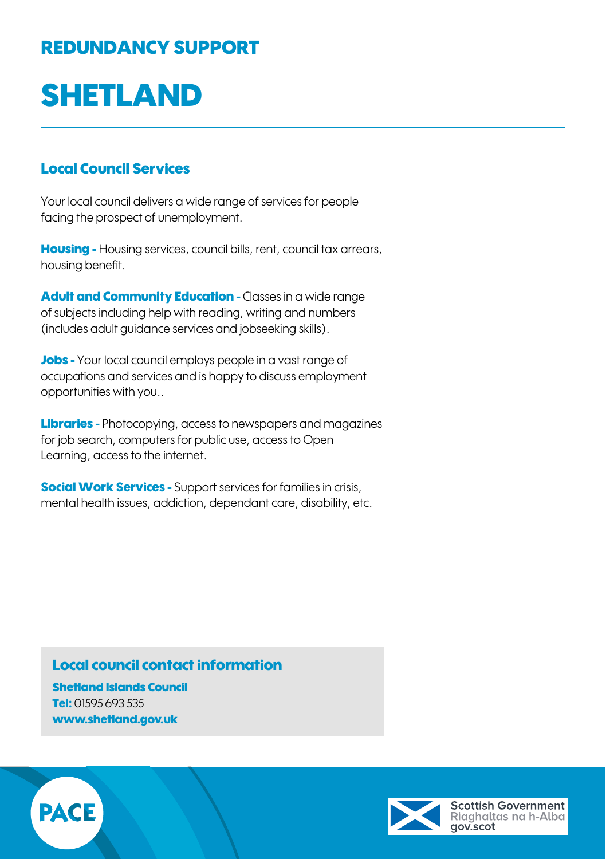## REDUNDANCY SUPPORT

# SHETLAND

### Local Council Services

Your local council delivers a wide range of services for people facing the prospect of unemployment.

Housing - Housing services, council bills, rent, council tax arrears, housing benefit.

Adult and Community Education - Classes in a wide range of subjects including help with reading, writing and numbers (includes adult guidance services and jobseeking skills).

Jobs - Your local council employs people in a vast range of occupations and services and is happy to discuss employment opportunities with you..

**Libraries -** Photocopying, access to newspapers and magazines for job search, computers for public use, access to Open Learning, access to the internet.

**Social Work Services -** Support services for families in crisis, mental health issues, addiction, dependant care, disability, etc.

### Local council contact information

Shetland Islands Council Tel: 01595 693 535 [www.shetland.gov.uk](http://www.shetland.gov.uk)